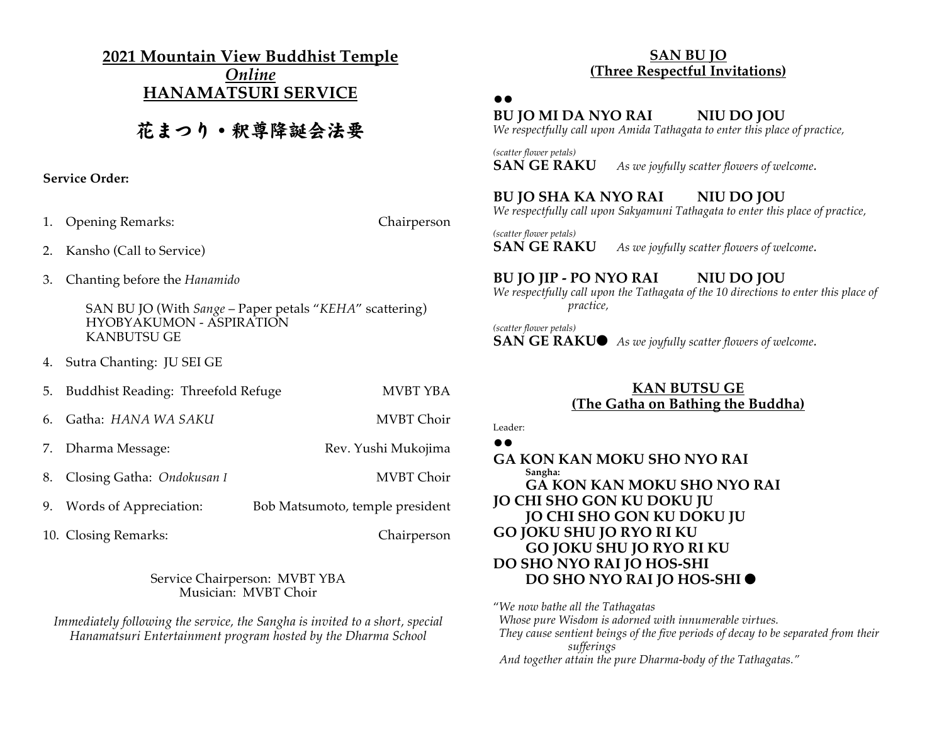**2021 Mountain View Buddhist Temple** *Online* **HANAMATSURI SERVICE**

# 花まつり・釈尊降誕会法要

#### **Service Order:**

1. Opening Remarks: Chairperson

- 2. Kansho (Call to Service)
- 3. Chanting before the *Hanamido*

SAN BU JO (With *Sange* – Paper petals "*KEHA*" scattering) HYOBYAKUMON - ASPIRATION KANBUTSU GE

4. Sutra Chanting: JU SEI GE

| 5. | Buddhist Reading: Threefold Refuge | MVBT YBA                        |
|----|------------------------------------|---------------------------------|
| 6. | Gatha: HANA WA SAKU                | MVBT Choir                      |
|    | 7. Dharma Message:                 | Rev. Yushi Mukojima             |
|    | 8. Closing Gatha: Ondokusan I      | MVBT Choir                      |
|    | 9. Words of Appreciation:          | Bob Matsumoto, temple president |

10. Closing Remarks: Chairperson

Service Chairperson: MVBT YBA Musician: MVBT Choir

*Immediately following the service, the Sangha is invited to a short, special Hanamatsuri Entertainment program hosted by the Dharma School*

### **SAN BU JO (Three Respectful Invitations)**

## **!!**

## **BU JO MI DA NYO RAI NIU DO JOU**

*We respectfully call upon Amida Tathagata to enter this place of practice,*

*(scatter flower petals)* **SAN GE RAKU** *As we joyfully scatter flowers of welcome.* 

## **BU JO SHA KA NYO RAI NIU DO JOU**

*We respectfully call upon Sakyamuni Tathagata to enter this place of practice,*

*(scatter flower petals)* **SAN GE RAKU** *As we joyfully scatter flowers of welcome.* 

## **BU JO JIP - PO NYO RAI NIU DO JOU**

*We respectfully call upon the Tathagata of the 10 directions to enter this place of practice,*

*(scatter flower petals)* **SAN GE RAKU●** *As we joyfully scatter flowers of welcome.* 

## **KAN BUTSU GE (The Gatha on Bathing the Buddha)**

Leader: **!!**

**GA KON KAN MOKU SHO NYO RAI Sangha: GA KON KAN MOKU SHO NYO RAI JO CHI SHO GON KU DOKU JU JO CHI SHO GON KU DOKU JU GO JOKU SHU JO RYO RI KU GO JOKU SHU JO RYO RI KU DO SHO NYO RAI JO HOS-SHI DO SHO NYO RAI JO HOS-SHI**

"*We now bathe all the Tathagatas Whose pure Wisdom is adorned with innumerable virtues. They cause sentient beings of the five periods of decay to be separated from their sufferings And together attain the pure Dharma-body of the Tathagatas."*